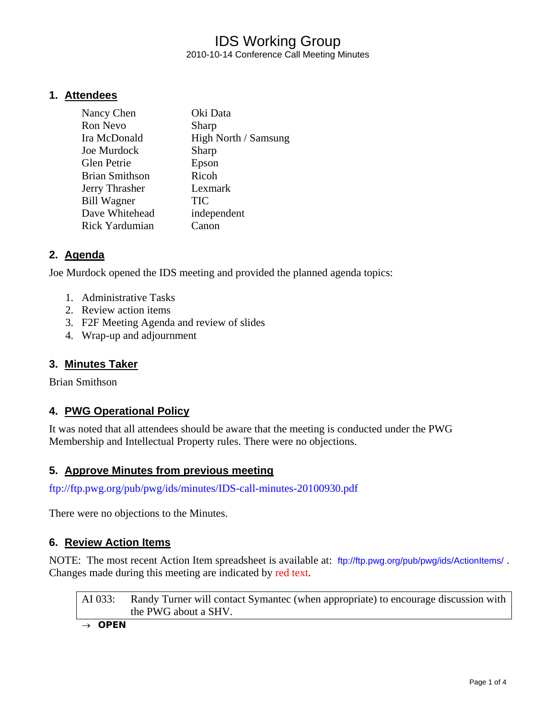# IDS Working Group 2010-10-14 Conference Call Meeting Minutes

#### **1. Attendees**

| Nancy Chen            | Oki Data             |
|-----------------------|----------------------|
| Ron Nevo              | Sharp                |
| Ira McDonald          | High North / Samsung |
| Joe Murdock           | Sharp                |
| <b>Glen Petrie</b>    | Epson                |
| <b>Brian Smithson</b> | Ricoh                |
| Jerry Thrasher        | Lexmark              |
| <b>Bill Wagner</b>    | TIC                  |
| Dave Whitehead        | independent          |
| Rick Yardumian        | Canon                |

### **2. Agenda**

Joe Murdock opened the IDS meeting and provided the planned agenda topics:

- 1. Administrative Tasks
- 2. Review action items
- 3. F2F Meeting Agenda and review of slides
- 4. Wrap-up and adjournment

### **3. Minutes Taker**

Brian Smithson

### **4. PWG Operational Policy**

It was noted that all attendees should be aware that the meeting is conducted under the PWG Membership and Intellectual Property rules. There were no objections.

#### **5. Approve Minutes from previous meeting**

<ftp://ftp.pwg.org/pub/pwg/ids/minutes/IDS-call-minutes-20100930.pdf>

There were no objections to the Minutes.

### **6. Review Action Items**

NOTE: The most recent Action Item spreadsheet is available at: <ftp://ftp.pwg.org/pub/pwg/ids/ActionItems/> . Changes made during this meeting are indicated by red text.

AI 033: Randy Turner will contact Symantec (when appropriate) to encourage discussion with the PWG about a SHV.

→ *OPEN*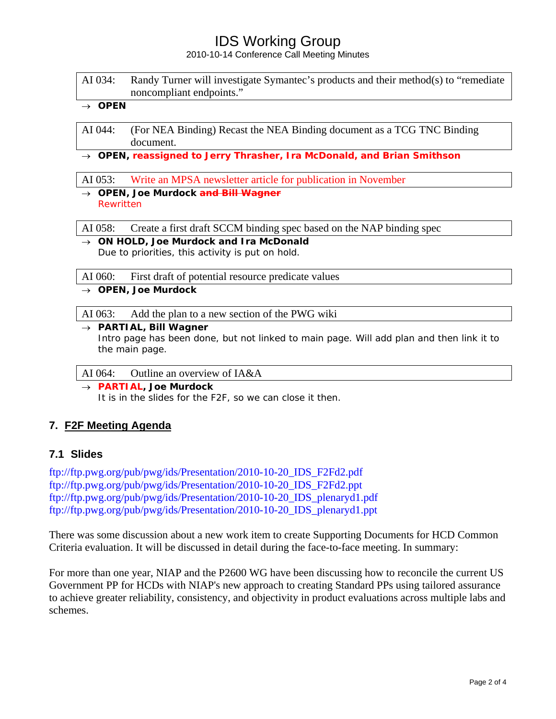# IDS Working Group

2010-10-14 Conference Call Meeting Minutes

| AI 034:            | Randy Turner will investigate Symantec's products and their method(s) to "remediate<br>noncompliant endpoints."                                  |
|--------------------|--------------------------------------------------------------------------------------------------------------------------------------------------|
| $\rightarrow$ OPEN |                                                                                                                                                  |
| AI 044:            | (For NEA Binding) Recast the NEA Binding document as a TCG TNC Binding<br>document.                                                              |
|                    | OPEN, reassigned to Jerry Thrasher, Ira McDonald, and Brian Smithson                                                                             |
|                    | AI 053: Write an MPSA newsletter article for publication in November                                                                             |
| Rewritten          | → OPEN, Joe Murdock and Bill Wagner                                                                                                              |
| AI 058:            | Create a first draft SCCM binding spec based on the NAP binding spec                                                                             |
|                    | ON HOLD, Joe Murdock and Ira McDonald<br>Due to priorities, this activity is put on hold.                                                        |
| AI 060:            | First draft of potential resource predicate values                                                                                               |
|                    | $\rightarrow$ OPEN, Joe Murdock                                                                                                                  |
| AI 063:            | Add the plan to a new section of the PWG wiki                                                                                                    |
|                    | $\rightarrow$ PARTIAL, Bill Wagner<br>Intro page has been done, but not linked to main page. Will add plan and then link it to<br>the main page. |
| AI 064:            | Outline an overview of IA&A                                                                                                                      |

→ *PARTIAL, Joe Murdock*  It is in the slides for the F2F, so we can close it then.

## **7. F2F Meeting Agenda**

### **7.1 Slides**

[ftp://ftp.pwg.org/pub/pwg/ids/Presentation/2010-10-20\\_IDS\\_F2Fd2.pdf](ftp://ftp.pwg.org/pub/pwg/ids/Presentation/2010-10-20_IDS_F2Fd2.pdf) [ftp://ftp.pwg.org/pub/pwg/ids/Presentation/2010-10-20\\_IDS\\_F2Fd2.ppt](ftp://ftp.pwg.org/pub/pwg/ids/Presentation/2010-10-20_IDS_F2Fd2.ppt) [ftp://ftp.pwg.org/pub/pwg/ids/Presentation/2010-10-20\\_IDS\\_plenaryd1.pdf](ftp://ftp.pwg.org/pub/pwg/ids/Presentation/2010-10-20_IDS_plenaryd1.pdf) [ftp://ftp.pwg.org/pub/pwg/ids/Presentation/2010-10-20\\_IDS\\_plenaryd1.ppt](ftp://ftp.pwg.org/pub/pwg/ids/Presentation/2010-10-20_IDS_plenaryd1.ppt)

There was some discussion about a new work item to create Supporting Documents for HCD Common Criteria evaluation. It will be discussed in detail during the face-to-face meeting. In summary:

For more than one year, NIAP and the P2600 WG have been discussing how to reconcile the current US Government PP for HCDs with NIAP's new approach to creating Standard PPs using tailored assurance to achieve greater reliability, consistency, and objectivity in product evaluations across multiple labs and schemes.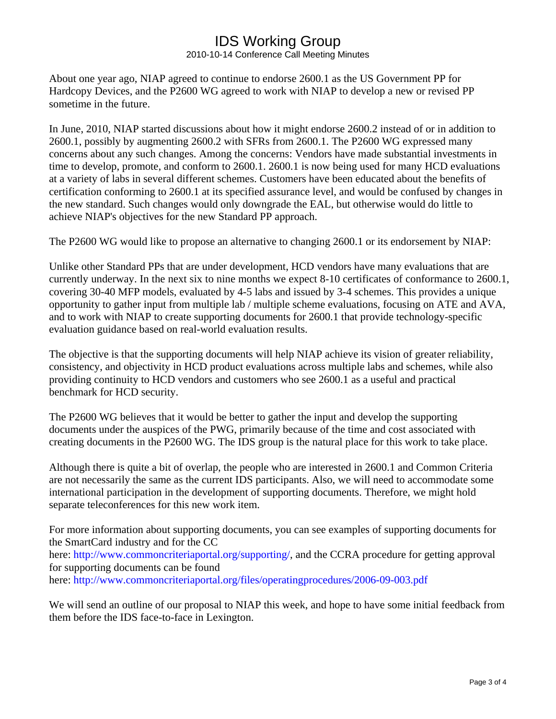# IDS Working Group

2010-10-14 Conference Call Meeting Minutes

About one year ago, NIAP agreed to continue to endorse 2600.1 as the US Government PP for Hardcopy Devices, and the P2600 WG agreed to work with NIAP to develop a new or revised PP sometime in the future.

In June, 2010, NIAP started discussions about how it might endorse 2600.2 instead of or in addition to 2600.1, possibly by augmenting 2600.2 with SFRs from 2600.1. The P2600 WG expressed many concerns about any such changes. Among the concerns: Vendors have made substantial investments in time to develop, promote, and conform to 2600.1. 2600.1 is now being used for many HCD evaluations at a variety of labs in several different schemes. Customers have been educated about the benefits of certification conforming to 2600.1 at its specified assurance level, and would be confused by changes in the new standard. Such changes would only downgrade the EAL, but otherwise would do little to achieve NIAP's objectives for the new Standard PP approach.

The P2600 WG would like to propose an alternative to changing 2600.1 or its endorsement by NIAP:

Unlike other Standard PPs that are under development, HCD vendors have many evaluations that are currently underway. In the next six to nine months we expect 8-10 certificates of conformance to 2600.1, covering 30-40 MFP models, evaluated by 4-5 labs and issued by 3-4 schemes. This provides a unique opportunity to gather input from multiple lab / multiple scheme evaluations, focusing on ATE and AVA, and to work with NIAP to create supporting documents for 2600.1 that provide technology-specific evaluation guidance based on real-world evaluation results.

The objective is that the supporting documents will help NIAP achieve its vision of greater reliability, consistency, and objectivity in HCD product evaluations across multiple labs and schemes, while also providing continuity to HCD vendors and customers who see 2600.1 as a useful and practical benchmark for HCD security.

The P2600 WG believes that it would be better to gather the input and develop the supporting documents under the auspices of the PWG, primarily because of the time and cost associated with creating documents in the P2600 WG. The IDS group is the natural place for this work to take place.

Although there is quite a bit of overlap, the people who are interested in 2600.1 and Common Criteria are not necessarily the same as the current IDS participants. Also, we will need to accommodate some international participation in the development of supporting documents. Therefore, we might hold separate teleconferences for this new work item.

For more information about supporting documents, you can see examples of supporting documents for the SmartCard industry and for the CC here: [http://www.commoncriteriaportal.org/supporting/,](http://www.commoncriteriaportal.org/supporting/) and the CCRA procedure for getting approval for supporting documents can be found here:<http://www.commoncriteriaportal.org/files/operatingprocedures/2006-09-003.pdf>

We will send an outline of our proposal to NIAP this week, and hope to have some initial feedback from them before the IDS face-to-face in Lexington.